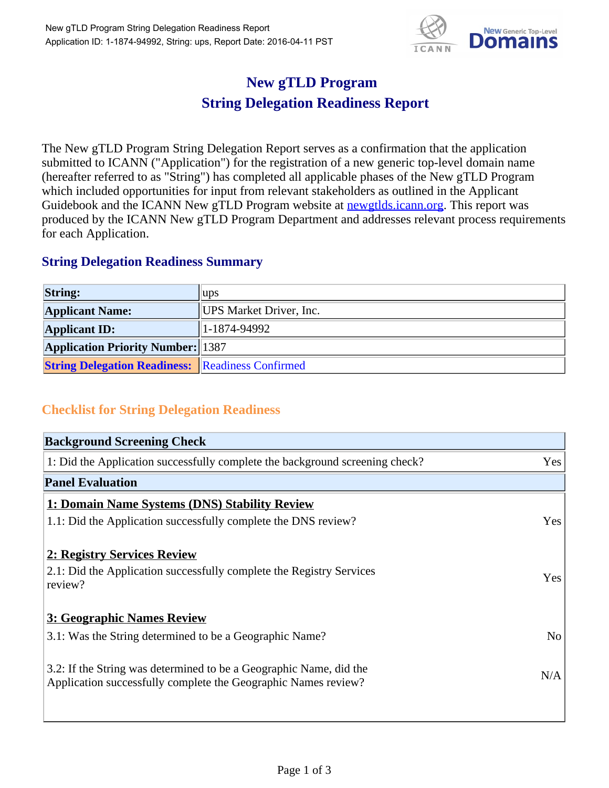

## **New gTLD Program String Delegation Readiness Report**

The New gTLD Program String Delegation Report serves as a confirmation that the application submitted to ICANN ("Application") for the registration of a new generic top-level domain name (hereafter referred to as "String") has completed all applicable phases of the New gTLD Program which included opportunities for input from relevant stakeholders as outlined in the Applicant Guidebook and the ICANN New gTLD Program website at newgtlds.icann.org. This report was produced by the ICANN New gTLD Program Department and addresses relevant process requirements for each Application.

## **String Delegation Readiness Summary**

| <b>String:</b>                                          | $\mu$ ps                |
|---------------------------------------------------------|-------------------------|
| <b>Applicant Name:</b>                                  | UPS Market Driver, Inc. |
| <b>Applicant ID:</b>                                    | 1-1874-94992            |
| <b>Application Priority Number:</b> 1387                |                         |
| <b>String Delegation Readiness: Readiness Confirmed</b> |                         |

## **Checklist for String Delegation Readiness**

| <b>Background Screening Check</b>                                               |                |
|---------------------------------------------------------------------------------|----------------|
| 1: Did the Application successfully complete the background screening check?    | Yes            |
| <b>Panel Evaluation</b>                                                         |                |
| 1: Domain Name Systems (DNS) Stability Review                                   |                |
| 1.1: Did the Application successfully complete the DNS review?                  | Yes            |
| 2: Registry Services Review                                                     |                |
|                                                                                 |                |
| 2.1: Did the Application successfully complete the Registry Services<br>review? | <b>Yes</b>     |
|                                                                                 |                |
| 3: Geographic Names Review                                                      |                |
| 3.1: Was the String determined to be a Geographic Name?                         | N <sub>0</sub> |
| 3.2: If the String was determined to be a Geographic Name, did the              |                |
| Application successfully complete the Geographic Names review?                  | N/A            |
|                                                                                 |                |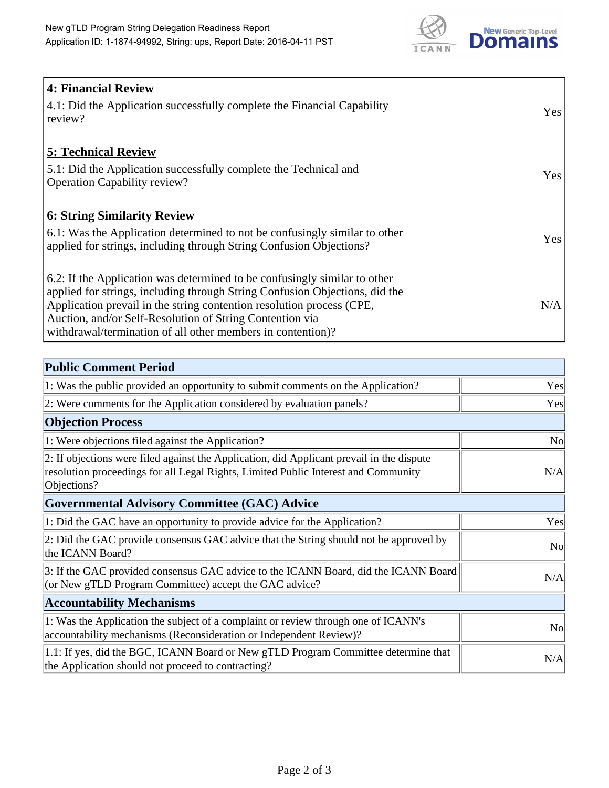

| <b>4: Financial Review</b><br>4.1: Did the Application successfully complete the Financial Capability<br>review?                                                                                                                                                                                                                                             | Yes |
|--------------------------------------------------------------------------------------------------------------------------------------------------------------------------------------------------------------------------------------------------------------------------------------------------------------------------------------------------------------|-----|
| <b>5: Technical Review</b><br>5.1: Did the Application successfully complete the Technical and<br><b>Operation Capability review?</b>                                                                                                                                                                                                                        | Yes |
| <b>6: String Similarity Review</b><br>6.1: Was the Application determined to not be confusingly similar to other<br>applied for strings, including through String Confusion Objections?                                                                                                                                                                      | Yes |
| 6.2: If the Application was determined to be confusingly similar to other<br>applied for strings, including through String Confusion Objections, did the<br>Application prevail in the string contention resolution process (CPE,<br>Auction, and/or Self-Resolution of String Contention via<br>withdrawal/termination of all other members in contention)? | N/A |

| <b>Public Comment Period</b>                                                                                                                                                                   |                |
|------------------------------------------------------------------------------------------------------------------------------------------------------------------------------------------------|----------------|
| 1: Was the public provided an opportunity to submit comments on the Application?                                                                                                               | Yes            |
| 2: Were comments for the Application considered by evaluation panels?                                                                                                                          | Yes            |
| <b>Objection Process</b>                                                                                                                                                                       |                |
| 1: Were objections filed against the Application?                                                                                                                                              | <b>No</b>      |
| 2: If objections were filed against the Application, did Applicant prevail in the dispute<br>resolution proceedings for all Legal Rights, Limited Public Interest and Community<br>Objections? | N/A            |
| <b>Governmental Advisory Committee (GAC) Advice</b>                                                                                                                                            |                |
| 1: Did the GAC have an opportunity to provide advice for the Application?                                                                                                                      | Yes            |
| 2: Did the GAC provide consensus GAC advice that the String should not be approved by<br>the ICANN Board?                                                                                      | N <sub>o</sub> |
| 3: If the GAC provided consensus GAC advice to the ICANN Board, did the ICANN Board<br>(or New gTLD Program Committee) accept the GAC advice?                                                  | N/A            |
| <b>Accountability Mechanisms</b>                                                                                                                                                               |                |
| 1: Was the Application the subject of a complaint or review through one of ICANN's<br>accountability mechanisms (Reconsideration or Independent Review)?                                       | N <sub>0</sub> |
| 1.1: If yes, did the BGC, ICANN Board or New gTLD Program Committee determine that<br>the Application should not proceed to contracting?                                                       | N/A            |